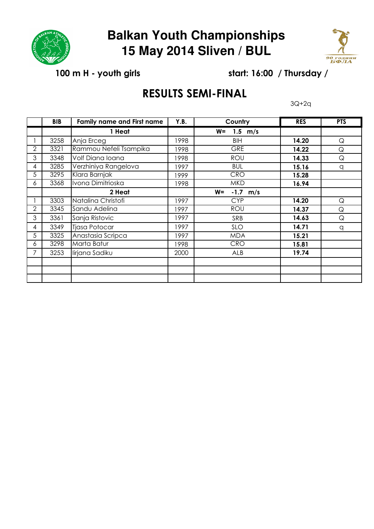

## **Balkan Youth Championships 15 May 2014 Sliven / BUL**



100 m H - youth girls start: 16:00 / Thursday /

## RESULTS SEMI-FINAL

3Q+2q

|                | <b>BIB</b> | <b>Family name and First name</b> | Y.B. | Country                    | <b>RES</b> | <b>PTS</b>  |
|----------------|------------|-----------------------------------|------|----------------------------|------------|-------------|
|                |            | 1 Heat                            |      | $1.5 \text{ m/s}$<br>$W =$ |            |             |
|                | 3258       | Anja Erceg                        | 1998 | <b>BIH</b>                 | 14.20      | Q           |
| $\overline{2}$ | 3321       | Rammou Nefeli Tsampika            | 1998 | GRE                        | 14.22      | $\mathsf Q$ |
| 3              | 3348       | Volf Diana Ioana                  | 1998 | <b>ROU</b>                 | 14.33      | $\mathsf Q$ |
| 4              | 3285       | Verzhiniya Rangelova              | 1997 | <b>BUL</b>                 | 15.16      | q           |
| 5              | 3295       | Klara Barnjak                     | 1999 | <b>CRO</b>                 | 15.28      |             |
| 6              | 3368       | Ivona Dimitrioska                 | 1998 | <b>MKD</b>                 | 16.94      |             |
|                |            | 2 Heat                            |      | $-1.7$ m/s<br>$W =$        |            |             |
|                | 3303       | Natalina Christofi                | 1997 | <b>CYP</b>                 | 14.20      | $\mathsf Q$ |
| 2              | 3345       | Sandu Adelina                     | 1997 | ROU                        | 14.37      | $\mathsf Q$ |
| 3              | 3361       | Sanja Ristovic                    | 1997 | SRB                        | 14.63      | Q           |
| 4              | 3349       | <b>Tjasa Potocar</b>              | 1997 | <b>SLO</b>                 | 14.71      | q           |
| 5              | 3325       | Anastasia Scripca                 | 1997 | <b>MDA</b>                 | 15.21      |             |
| 6              | 3298       | Marta Batur                       | 1998 | <b>CRO</b>                 | 15.81      |             |
| 7              | 3253       | lirjana Sadiku                    | 2000 | ALB                        | 19.74      |             |
|                |            |                                   |      |                            |            |             |
|                |            |                                   |      |                            |            |             |
|                |            |                                   |      |                            |            |             |